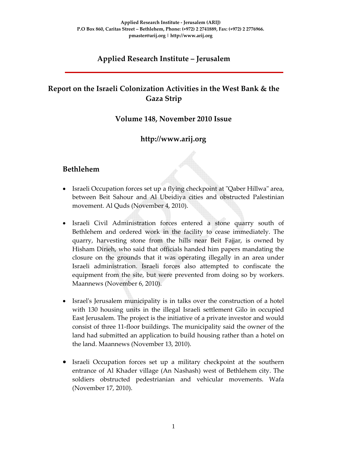# **Applied Research Institute – Jerusalem**

# **Report on the Israeli Colonization Activities in the West Bank & the Gaza Strip**

#### **Volume 148, November 2010 Issue**

# **http://www.arij.org**

#### **Bethlehem**

- Israeli Occupation forces set up a flying checkpoint at "Qaber Hillwa" area, between Beit Sahour and Al Ubeidiya cities and obstructed Palestinian movement. Al Quds (November 4, 2010).
- Israeli Civil Administration forces entered a stone quarry south of Bethlehem and ordered work in the facility to cease immediately. The quarry, harvesting stone from the hills near Beit Fajjar, is owned by Hisham Dirieh, who said that officials handed him papers mandating the closure on the grounds that it was operating illegally in an area under Israeli administration. Israeli forces also attempted to confiscate the equipment from the site, but were prevented from doing so by workers. Maannews (November 6, 2010).
- Israel's Jerusalem municipality is in talks over the construction of a hotel with 130 housing units in the illegal Israeli settlement Gilo in occupied East Jerusalem. The project is the initiative of a private investor and would consist of three 11‐floor buildings. The municipality said the owner of the land had submitted an application to build housing rather than a hotel on the land. Maannews (November 13, 2010).
- Israeli Occupation forces set up a military checkpoint at the southern entrance of Al Khader village (An Nashash) west of Bethlehem city. The soldiers obstructed pedestrianian and vehicular movements. Wafa (November 17, 2010).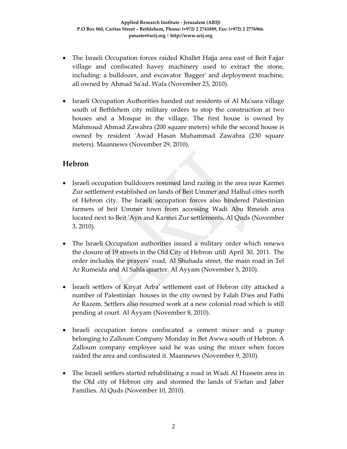- The Israeli Occupation forces raided Khallet Hajja area east of Beit Fajjar village and confiscated havey machinery used to extract the stone, including: a bulldozer, and excavator 'Bagger' and deployment machine, all owned by Ahmad Saʹad. Wafa (November 23, 2010).
- Israeli Occupation Authorities handed out residents of Al Ma'sara village south of Bethlehem city military orders to stop the construction at two houses and a Mosque in the village. The first house is owned by Mahmoud Ahmad Zawahra (200 square meters) while the second house is owned by resident ʹAwad Hasan Muhammad Zawahra (230 square meters). Maannews (November 29, 2010).

#### **Hebron**

- Israeli occupation bulldozers resumed land razing in the area near Karmei Zur settlement established on lands of Beit Ummer and Halhul cities north of Hebron city. The Israeli occupation forces also hindered Palestinian farmers of beit Ummer town from accessing Wadi Abu Rmeish area located next to Beit ʹAyn and Karmei Zur settlements. Al Quds (November 3, 2010).
- The Israeli Occupation authorities issued a military order which renews the closure of 19 streets in the Old City of Hebron utill April 30, 2011. The order includes the prayersʹ road, Al Shuhada street, the main road in Tel Ar Rumeida and Al Sahla quarter. Al Ayyam (November 5, 2010).
- Israeli settlers of Kiryat Arbaʹ settlement east of Hebron city attacked a number of Palestinian houses in the city owned by Falah Dʹies and Fathi Ar Razem. Settlers also resumed work at a new colonial road which is still pending at court. Al Ayyam (November 8, 2010).
- Israeli occupation forces confiscated a cement mixer and a pump belonging to Zalloum Company Monday in Bet Awwa south of Hebron. A Zalloum company employee said he was using the mixer when forces raided the area and confiscated it. Maannews (November 9, 2010).
- The Israeli settlers started rehabilitaing a road in Wadi Al Hussein area in the Old city of Hebron city and stormed the lands of Sʹiefan and Jaber Families. Al Quds (November 10, 2010).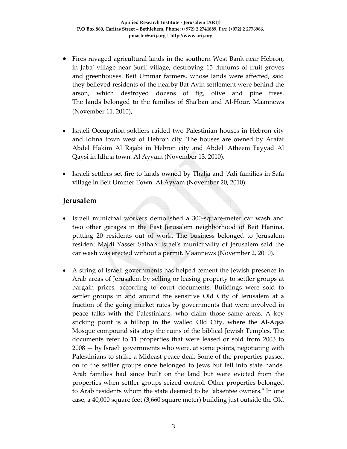- Fires ravaged agricultural lands in the southern West Bank near Hebron, in Jabaʹ village near Surif village, destroying 15 dunums of fruit groves and greenhouses. Beit Ummar farmers, whose lands were affected, said they believed residents of the nearby Bat Ayin settlement were behind the arson, which destroyed dozens of fig, olive and pine trees. The lands belonged to the families of Sha'ban and Al‐Hour. Maannews (November 11, 2010)**.**
- Israeli Occupation soldiers raided two Palestinian houses in Hebron city and Idhna town west of Hebron city. The houses are owned by Arafat Abdel Hakim Al Rajabi in Hebron city and Abdel 'Atheem Fayyad Al Qaysi in Idhna town. Al Ayyam (November 13, 2010).
- Israeli settlers set fire to lands owned by Thalja and ʹAdi families in Safa village in Beit Ummer Town. Al Ayyam (November 20, 2010).

# **Jerusalem**

- Israeli municipal workers demolished a 300-square-meter car wash and two other garages in the East Jerusalem neighborhood of Beit Hanina, putting 20 residents out of work. The business belonged to Jerusalem resident Majdi Yasser Salhab. Israelʹs municipality of Jerusalem said the car wash was erected without a permit. Maannews (November 2, 2010).
- A string of Israeli governments has helped cement the Jewish presence in Arab areas of Jerusalem by selling or leasing property to settler groups at bargain prices, according to court documents. Buildings were sold to settler groups in and around the sensitive Old City of Jerusalem at a fraction of the going market rates by governments that were involved in peace talks with the Palestinians, who claim those same areas. A key sticking point is a hilltop in the walled Old City, where the Al-Aqsa Mosque compound sits atop the ruins of the biblical Jewish Temples. The documents refer to 11 properties that were leased or sold from 2003 to 2008 — by Israeli governments who were, at some points, negotiating with Palestinians to strike a Mideast peace deal. Some of the properties passed on to the settler groups once belonged to Jews but fell into state hands. Arab families had since built on the land but were evicted from the properties when settler groups seized control. Other properties belonged to Arab residents whom the state deemed to be "absentee owners." In one case, a 40,000 square feet (3,660 square meter) building just outside the Old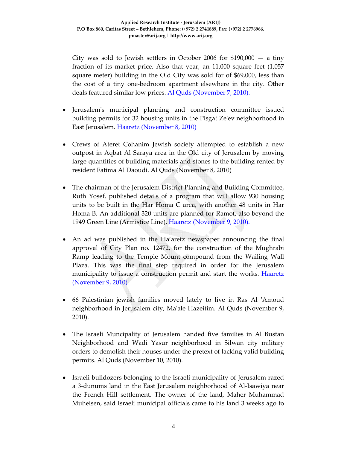City was sold to Jewish settlers in October 2006 for  $$190,000 - a$  tiny fraction of its market price. Also that year, an 11,000 square feet (1,057 square meter) building in the Old City was sold for of \$69,000, less than the cost of a tiny one‐bedroom apartment elsewhere in the city. Other deals featured similar low prices. Al Quds (November 7, 2010).

- Jerusalemʹs municipal planning and construction committee issued building permits for 32 housing units in the Pisgat Zeʹev neighborhood in East Jerusalem. Haaretz (November 8, 2010)
- Crews of Ateret Cohanim Jewish society attempted to establish a new outpost in Aqbat Al Saraya area in the Old city of Jerusalem by moving large quantities of building materials and stones to the building rented by resident Fatima Al Daoudi. Al Quds (November 8, 2010)
- The chairman of the Jerusalem District Planning and Building Committee, Ruth Yosef, published details of a program that will allow 930 housing units to be built in the Har Homa C area, with another 48 units in Har Homa B. An additional 320 units are planned for Ramot, also beyond the 1949 Green Line (Armistice Line). Haaretz (November 9, 2010).
- An ad was published in the Ha'aretz newspaper announcing the final approval of City Plan no. 12472, for the construction of the Mughrabi Ramp leading to the Temple Mount compound from the Wailing Wall Plaza. This was the final step required in order for the Jerusalem municipality to issue a construction permit and start the works. Haaretz (November 9, 2010)
- 66 Palestinian jewish families moved lately to live in Ras Al 'Amoud neighborhood in Jerusalem city, Maʹale Hazeitim. Al Quds (November 9, 2010).
- The Israeli Muncipality of Jerusalem handed five families in Al Bustan Neighborhood and Wadi Yasur neighborhood in Silwan city military orders to demolish their houses under the pretext of lacking valid building permits. Al Quds (November 10, 2010).
- Israeli bulldozers belonging to the Israeli municipality of Jerusalem razed a 3‐dunums land in the East Jerusalem neighborhood of Al‐Isawiya near the French Hill settlement. The owner of the land, Maher Muhammad Muheisen, said Israeli municipal officials came to his land 3 weeks ago to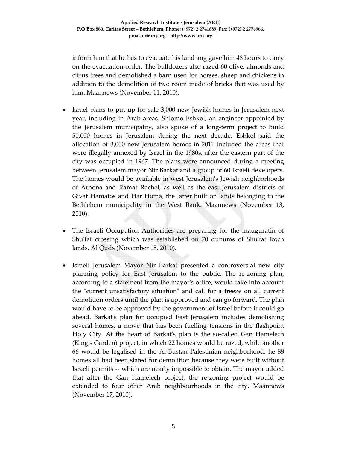inform him that he has to evacuate his land ang gave him 48 hours to carry on the evacuation order. The bulldozers also razed 60 olive, almonds and citrus trees and demolished a barn used for horses, sheep and chickens in addition to the demolition of two room made of bricks that was used by him. Maannews (November 11, 2010).

- Israel plans to put up for sale 3,000 new Jewish homes in Jerusalem next year, including in Arab areas. Shlomo Eshkol, an engineer appointed by the Jerusalem municipality, also spoke of a long‐term project to build 50,000 homes in Jerusalem during the next decade. Eshkol said the allocation of 3,000 new Jerusalem homes in 2011 included the areas that were illegally annexed by Israel in the 1980s, after the eastern part of the city was occupied in 1967. The plans were announced during a meeting between Jerusalem mayor Nir Barkat and a group of 60 Israeli developers. The homes would be available in west Jerusalemʹs Jewish neighborhoods of Arnona and Ramat Rachel, as well as the east Jerusalem districts of Givat Hamatos and Har Homa, the latter built on lands belonging to the Bethlehem municipality in the West Bank. Maannews (November 13, 2010).
- The Israeli Occupation Authorities are preparing for the inauguratin of Shu'fat crossing which was established on 70 dunums of Shu'fat town lands. Al Quds (November 15, 2010).
- Israeli Jerusalem Mayor Nir Barkat presented a controversial new city planning policy for East Jerusalem to the public. The re-zoning plan, according to a statement from the mayorʹs office, would take into account the "current unsatisfactory situation" and call for a freeze on all current demolition orders until the plan is approved and can go forward. The plan would have to be approved by the government of Israel before it could go ahead. Barkatʹs plan for occupied East Jerusalem includes demolishing several homes, a move that has been fuelling tensions in the flashpoint Holy City. At the heart of Barkat's plan is the so-called Gan Hamelech (King's Garden) project, in which 22 homes would be razed, while another 66 would be legalised in the Al‐Bustan Palestinian neighborhood. he 88 homes all had been slated for demolition because they were built without Israeli permits ‐‐ which are nearly impossible to obtain. The mayor added that after the Gan Hamelech project, the re‐zoning project would be extended to four other Arab neighbourhoods in the city. Maannews (November 17, 2010).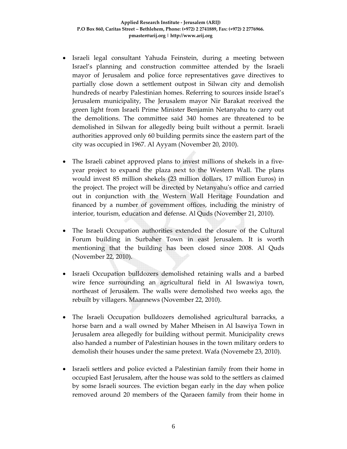- Israeli legal consultant Yahuda Feinstein, during a meeting between Israel's planning and construction committee attended by the Israeli mayor of Jerusalem and police force representatives gave directives to partially close down a settlement outpost in Silwan city and demolish hundreds of nearby Palestinian homes. Referring to sources inside Israel's Jerusalem municipality, The Jerusalem mayor Nir Barakat received the green light from Israeli Prime Minister Benjamin Netanyahu to carry out the demolitions. The committee said 340 homes are threatened to be demolished in Silwan for allegedly being built without a permit. Israeli authorities approved only 60 building permits since the eastern part of the city was occupied in 1967. Al Ayyam (November 20, 2010).
- The Israeli cabinet approved plans to invest millions of shekels in a fiveyear project to expand the plaza next to the Western Wall. The plans would invest 85 million shekels (23 million dollars, 17 million Euros) in the project. The project will be directed by Netanyahuʹs office and carried out in conjunction with the Western Wall Heritage Foundation and financed by a number of government offices, including the ministry of interior, tourism, education and defense. Al Quds (November 21, 2010).
- The Israeli Occupation authorities extended the closure of the Cultural Forum building in Surbaher Town in east Jerusalem. It is worth mentioning that the building has been closed since 2008. Al Quds (November 22, 2010).
- Israeli Occupation bulldozers demolished retaining walls and a barbed wire fence surrounding an agricultural field in Al Iswawiya town, northeast of Jerusalem. The walls were demolished two weeks ago, the rebuilt by villagers. Maannews (November 22, 2010).
- The Israeli Occupation bulldozers demolished agricultural barracks, a horse barn and a wall owned by Maher Mheisen in Al Isawiya Town in Jerusalem area allegedly for building without permit. Municipality crews also handed a number of Palestinian houses in the town military orders to demolish their houses under the same pretext. Wafa (Novemebr 23, 2010).
- Israeli settlers and police evicted a Palestinian family from their home in occupied East Jerusalem, after the house was sold to the settlers as claimed by some Israeli sources. The eviction began early in the day when police removed around 20 members of the Qaraeen family from their home in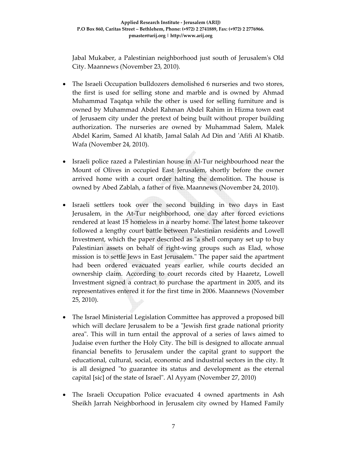Jabal Mukaber, a Palestinian neighborhood just south of Jerusalemʹs Old City. Maannews (November 23, 2010).

- The Israeli Occupation bulldozers demolished 6 nurseries and two stores, the first is used for selling stone and marble and is owned by Ahmad Muhammad Taqatqa while the other is used for selling furniture and is owned by Muhammad Abdel Rahman Abdel Rahim in Hizma town east of Jerusaem city under the pretext of being built without proper building authorization. The nurseries are owned by Muhammad Salem, Malek Abdel Karim, Samed Al khatib, Jamal Salah Ad Din and ʹAfifi Al Khatib. Wafa (November 24, 2010).
- Israeli police razed a Palestinian house in Al-Tur neighbourhood near the Mount of Olives in occupied East Jerusalem, shortly before the owner arrived home with a court order halting the demolition. The house is owned by Abed Zablah, a father of five. Maannews (November 24, 2010).
- Israeli settlers took over the second building in two days in East Jerusalem, in the At-Tur neighborhood, one day after forced evictions rendered at least 15 homeless in a nearby home. The latest home takeover followed a lengthy court battle between Palestinian residents and Lowell Investment, which the paper described as "a shell company set up to buy Palestinian assets on behalf of right‐wing groups such as Elad, whose mission is to settle Jews in East Jerusalem." The paper said the apartment had been ordered evacuated years earlier, while courts decided an ownership claim. According to court records cited by Haaretz, Lowell Investment signed a contract to purchase the apartment in 2005, and its representatives entered it for the first time in 2006. Maannews (November 25, 2010).
- The Israel Ministerial Legislation Committee has approved a proposed bill which will declare Jerusalem to be a "Jewish first grade national priority areaʺ. This will in turn entail the approval of a series of laws aimed to Judaise even further the Holy City. The bill is designed to allocate annual financial benefits to Jerusalem under the capital grant to support the educational, cultural, social, economic and industrial sectors in the city. It is all designed "to guarantee its status and development as the eternal capital [sic] of the state of Israel". Al Ayyam (November 27, 2010)
- The Israeli Occupation Police evacuated 4 owned apartments in Ash Sheikh Jarrah Neighborhood in Jerusalem city owned by Hamed Family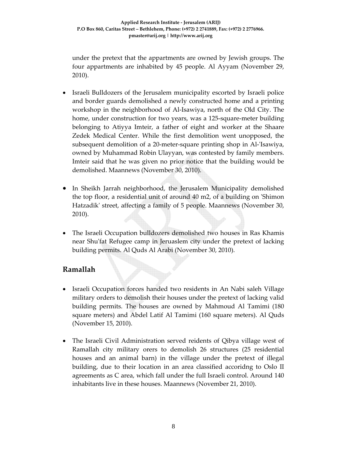under the pretext that the appartments are owned by Jewish groups. The four appartments are inhabited by 45 people. Al Ayyam (November 29, 2010).

- Israeli Bulldozers of the Jerusalem municipality escorted by Israeli police and border guards demolished a newly constructed home and a printing workshop in the neighborhood of Al‐Isawiya, north of the Old City. The home, under construction for two years, was a 125-square-meter building belonging to Atiyya Imteir, a father of eight and worker at the Shaare Zedek Medical Center. While the first demolition went unopposed, the subsequent demolition of a 20-meter-square printing shop in Al-'Isawiya, owned by Muhammad Robin Ulayyan, was contested by family members. Imteir said that he was given no prior notice that the building would be demolished. Maannews (November 30, 2010).
- In Sheikh Jarrah neighborhood, the Jerusalem Municipality demolished the top floor, a residential unit of around 40 m2, of a building on ʹShimon Hatzadik' street, affecting a family of 5 people. Maannews (November 30, 2010).
- The Israeli Occupation bulldozers demolished two houses in Ras Khamis near Shuʹfat Refugee camp in Jeruaslem city under the pretext of lacking building permits. Al Quds Al Arabi (November 30, 2010).

## **Ramallah**

- Israeli Occupation forces handed two residents in An Nabi saleh Village military orders to demolish their houses under the pretext of lacking valid building permits. The houses are owned by Mahmoud Al Tamimi (180 square meters) and Abdel Latif Al Tamimi (160 square meters). Al Quds (November 15, 2010).
- The Israeli Civil Administration served reidents of Qibya village west of Ramallah city military orers to demolish 26 structures (25 residential houses and an animal barn) in the village under the pretext of illegal building, due to their location in an area classified accoridng to Oslo II agreements as C area, which fall under the full Israeli control. Around 140 inhabitants live in these houses. Maannews (November 21, 2010).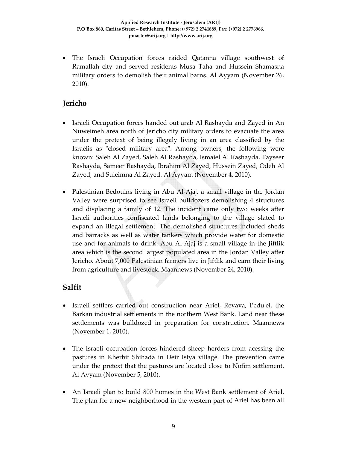• The Israeli Occupation forces raided Qatanna village southwest of Ramallah city and served residents Musa Taha and Hussein Shamasna military orders to demolish their animal barns. Al Ayyam (November 26, 2010).

# **Jericho**

- Israeli Occupation forces handed out arab Al Rashayda and Zayed in An Nuweimeh area north of Jericho city military orders to evacuate the area under the pretext of being illegaly living in an area classified by the Israelis as "closed military area". Among owners, the following were known: Saleh Al Zayed, Saleh Al Rashayda, Ismaiel Al Rashayda, Tayseer Rashayda, Sameer Rashayda, Ibrahim Al Zayed, Hussein Zayed, Odeh Al Zayed, and Suleimna Al Zayed. Al Ayyam (November 4, 2010).
- Palestinian Bedouins living in Abu Al-Ajaj, a small village in the Jordan Valley were surprised to see Israeli bulldozers demolishing 4 structures and displacing a family of 12. The incident came only two weeks after Israeli authorities confiscated lands belonging to the village slated to expand an illegal settlement. The demolished structures included sheds and barracks as well as water tankers which provide water for domestic use and for animals to drink. Abu Al‐Ajaj is a small village in the Jiftlik area which is the second largest populated area in the Jordan Valley after Jericho. About 7,000 Palestinian farmers live in Jiftlik and earn their living from agriculture and livestock. Maannews (November 24, 2010).

# **Salfit**

- Israeli settlers carried out construction near Ariel, Revava, Peduʹel, the Barkan industrial settlements in the northern West Bank. Land near these settlements was bulldozed in preparation for construction. Maannews (November 1, 2010).
- The Israeli occupation forces hindered sheep herders from acessing the pastures in Kherbit Shihada in Deir Istya village. The prevention came under the pretext that the pastures are located close to Nofim settlement. Al Ayyam (November 5, 2010).
- An Israeli plan to build 800 homes in the West Bank settlement of Ariel. The plan for a new neighborhood in the western part of Ariel has been all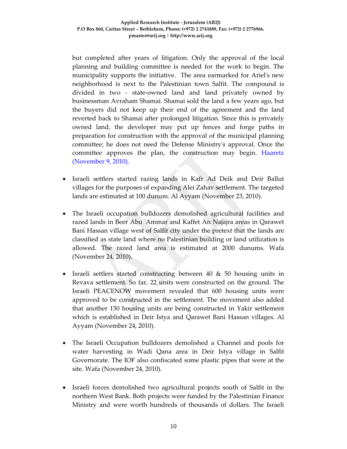but completed after years of litigation. Only the approval of the local planning and building committee is needed for the work to begin. The municipality supports the initiative. The area earmarked for Arielʹs new neighborhood is next to the Palestinian town Salfit. The compound is divided in two - state-owned land and land privately owned by businessman Avraham Shamai. Shamai sold the land a few years ago, but the buyers did not keep up their end of the agreement and the land reverted back to Shamai after prolonged litigation. Since this is privately owned land, the developer may put up fences and forge paths in preparation for construction with the approval of the municipal planning committee; he does not need the Defense Ministryʹs approval. Once the committee approves the plan, the construction may begin. Haaretz (November 9, 2010).

- Israeli settlers started razing lands in Kafr Ad Deik and Deir Ballut villages for the purposes of expanding Alei Zahav settlement. The targeted lands are estimated at 100 dunum. Al Ayyam (November 23, 2010).
- The Israeli occupation bulldozers demolished agricultural facilities and razed lands in Beer Abu ʹAmmar and Kaffet An Najajra areas in Qarawet Bani Hassan village west of Salfit city under the pretext that the lands are classified as state land where no Palestinian building or land utilization is allowed. The razed land area is estimated at 2000 dunums. Wafa (November 24, 2010).
- Israeli settlers started constructing between 40 & 50 housing units in Revava settlement. So far, 22 units were constructed on the ground. The Israeli PEACENOW movement revealed that 600 housing units were approved to be constructed in the settlement. The movement also added that another 150 housing units are being constructed in Yakir settlement which is established in Deir Istya and Qarawet Bani Hassan villages. Al Ayyam (November 24, 2010).
- The Israeli Occupation bulldozers demolished a Channel and pools for water harvesting in Wadi Qana area in Deir Istya village in Salfit Governorate. The IOF also confiscated some plastic pipes that were at the site. Wafa (November 24, 2010).
- Israeli forces demolished two agricultural projects south of Salfit in the northern West Bank. Both projects were funded by the Palestinian Finance Ministry and were worth hundreds of thousands of dollars. The Israeli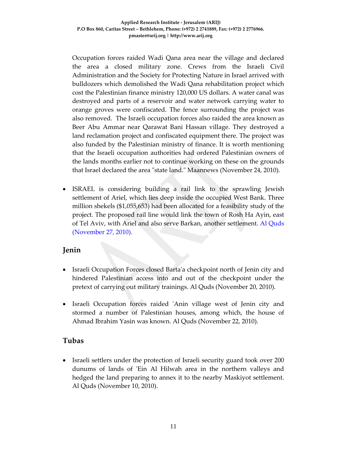Occupation forces raided Wadi Qana area near the village and declared the area a closed military zone. Crews from the Israeli Civil Administration and the Society for Protecting Nature in Israel arrived with bulldozers which demolished the Wadi Qana rehabilitation project which cost the Palestinian finance ministry 120,000 US dollars. A water canal was destroyed and parts of a reservoir and water network carrying water to orange groves were confiscated. The fence surrounding the project was also removed. The Israeli occupation forces also raided the area known as Beer Abu Ammar near Qarawat Bani Hassan village. They destroyed a land reclamation project and confiscated equipment there. The project was also funded by the Palestinian ministry of finance. It is worth mentioning that the Israeli occupation authorities had ordered Palestinian owners of the lands months earlier not to continue working on these on the grounds that Israel declared the area "state land." Maannews (November 24, 2010).

• ISRAEL is considering building a rail link to the sprawling Jewish settlement of Ariel, which lies deep inside the occupied West Bank. Three million shekels (\$1,055,653) had been allocated for a feasibility study of the project. The proposed rail line would link the town of Rosh Ha Ayin, east of Tel Aviv, with Ariel and also serve Barkan, another settlement. Al Quds (November 27, 2010).

# **Jenin**

- Israeli Occupation Forces closed Barta'a checkpoint north of Jenin city and hindered Palestinian access into and out of the checkpoint under the pretext of carrying out military trainings. Al Quds (November 20, 2010).
- Israeli Occupation forces raided 'Anin village west of Jenin city and stormed a number of Palestinian houses, among which, the house of Ahmad Ibrahim Yasin was known. Al Quds (November 22, 2010).

## **Tubas**

• Israeli settlers under the protection of Israeli security guard took over 200 dunums of lands of 'Ein Al Hilwah area in the northern valleys and hedged the land preparing to annex it to the nearby Maskiyot settlement. Al Quds (November 10, 2010).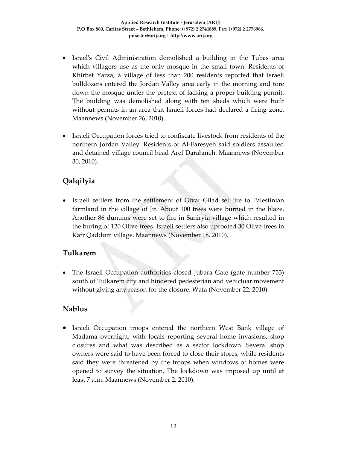- Israel's Civil Administration demolished a building in the Tubas area which villagers use as the only mosque in the small town. Residents of Khirbet Yarza, a village of less than 200 residents reported that Israeli bulldozers entered the Jordan Valley area early in the morning and tore down the mosque under the pretext of lacking a proper building permit. The building was demolished along with ten sheds which were built without permits in an area that Israeli forces had declared a firing zone. Maannews (November 26, 2010).
- Israeli Occupation forces tried to confiscate livestock from residents of the northern Jordan Valley. Residents of Al‐Faresyeh said soldiers assaulted and detained village council head Aref Darahmeh. Maannews (November 30, 2010).

# **Qalqilyia**

• Israeli settlers from the settlement of Givat Gilad set fire to Palestinian farmland in the village of Jit. About 100 trees were burned in the blaze. Another 86 dunums were set to fire in Saniryia village which resulted in the buring of 120 Olive trees. Israeli settlers also uprooted 30 Olive trees in Kafr Qaddum village. Maannews (November 18, 2010).

## **Tulkarem**

• The Israeli Occupation authorities closed Jubara Gate (gate number 753) south of Tulkarem city and hindered pedesterian and vehicluar movement without giving any reason for the closure. Wafa (November 22, 2010).

## **Nablus**

• Israeli Occupation troops entered the northern West Bank village of Madama overnight, with locals reporting several home invasions, shop closures and what was described as a sector lockdown. Several shop owners were said to have been forced to close their stores, while residents said they were threatened by the troops when windows of homes were opened to survey the situation. The lockdown was imposed up until at least 7 a.m. Maannews (November 2, 2010).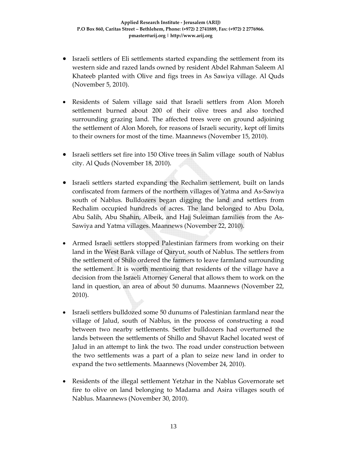- Israeli settlers of Eli settlements started expanding the settlement from its western side and razed lands owned by resident Abdel Rahman Saleem Al Khateeb planted with Olive and figs trees in As Sawiya village. Al Quds (November 5, 2010).
- Residents of Salem village said that Israeli settlers from Alon Moreh settlement burned about 200 of their olive trees and also torched surrounding grazing land. The affected trees were on ground adjoining the settlement of Alon Moreh, for reasons of Israeli security, kept off limits to their owners for most of the time. Maannews (November 15, 2010).
- Israeli settlers set fire into 150 Olive trees in Salim village south of Nablus city. Al Quds (November 18, 2010).
- Israeli settlers started expanding the Rechalim settlement, built on lands confiscated from farmers of the northern villages of Yatma and As‐Sawiya south of Nablus. Bulldozers began digging the land and settlers from Rechalim occupied hundreds of acres. The land belonged to Abu Dola, Abu Salih, Abu Shahin, Albeik, and Hajj Suleiman families from the As‐ Sawiya and Yatma villages. Maannews (November 22, 2010).
- Armed Israeli settlers stopped Palestinian farmers from working on their land in the West Bank village of Qaryut, south of Nablus. The settlers from the settlement of Shilo ordered the farmers to leave farmland surrounding the settlement. It is worth mentioing that residents of the village have a decision from the Israeli Attorney General that allows them to work on the land in question, an area of about 50 dunums. Maannews (November 22, 2010).
- Israeli settlers bulldozed some 50 dunums of Palestinian farmland near the village of Jalud, south of Nablus, in the process of constructing a road between two nearby settlements. Settler bulldozers had overturned the lands between the settlements of Shillo and Shavut Rachel located west of Jalud in an attempt to link the two. The road under construction between the two settlements was a part of a plan to seize new land in order to expand the two settlements. Maannews (November 24, 2010).
- Residents of the illegal settlement Yetzhar in the Nablus Governorate set fire to olive on land belonging to Madama and Asira villages south of Nablus. Maannews (November 30, 2010).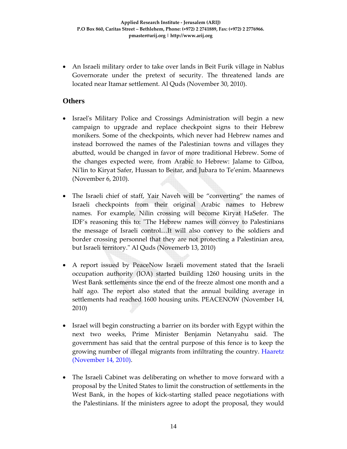• An Israeli military order to take over lands in Beit Furik village in Nablus Governorate under the pretext of security. The threatened lands are located near Itamar settlement. Al Quds (November 30, 2010).

#### **Others**

- Israel's Military Police and Crossings Administration will begin a new campaign to upgrade and replace checkpoint signs to their Hebrew monikers. Some of the checkpoints, which never had Hebrew names and instead borrowed the names of the Palestinian towns and villages they abutted, would be changed in favor of more traditional Hebrew. Some of the changes expected were, from Arabic to Hebrew: Jalame to Gilboa, Niʹlin to Kiryat Safer, Hussan to Beitar, and Jubara to Te'enim. Maannews (November 6, 2010).
- The Israeli chief of staff, Yair Naveh will be "converting" the names of Israeli checkpoints from their original Arabic names to Hebrew names. For example, Nilin crossing will become Kiryat HaSefer. The IDF's reasoning this to: "The Hebrew names will convey to Palestinians the message of Israeli control…It will also convey to the soldiers and border crossing personnel that they are not protecting a Palestinian area, but Israeli territory.ʺ Al Quds (Novemerb 13, 2010)
- A report issued by PeaceNow Israeli movement stated that the Israeli occupation authority (IOA) started building 1260 housing units in the West Bank settlements since the end of the freeze almost one month and a half ago. The report also stated that the annual building average in settlements had reached 1600 housing units. PEACENOW (November 14, 2010)
- Israel will begin constructing a barrier on its border with Egypt within the next two weeks, Prime Minister Benjamin Netanyahu said. The government has said that the central purpose of this fence is to keep the growing number of illegal migrants from infiltrating the country. Haaretz (November 14, 2010).
- The Israeli Cabinet was deliberating on whether to move forward with a proposal by the United States to limit the construction of settlements in the West Bank, in the hopes of kick-starting stalled peace negotiations with the Palestinians. If the ministers agree to adopt the proposal, they would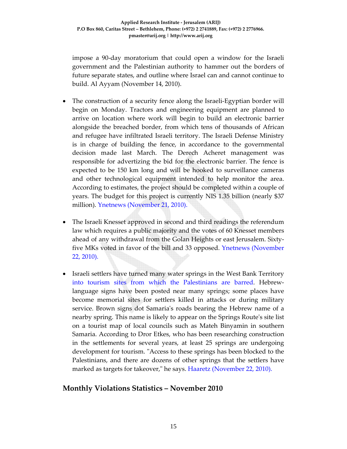impose a 90‐day moratorium that could open a window for the Israeli government and the Palestinian authority to hammer out the borders of future separate states, and outline where Israel can and cannot continue to build. Al Ayyam (November 14, 2010).

- The construction of a security fence along the Israeli-Egyptian border will begin on Monday. Tractors and engineering equipment are planned to arrive on location where work will begin to build an electronic barrier alongside the breached border, from which tens of thousands of African and refugee have infiltrated Israeli territory. The Israeli Defense Ministry is in charge of building the fence, in accordance to the governmental decision made last March. The Derech Acheret management was responsible for advertizing the bid for the electronic barrier. The fence is expected to be 150 km long and will be hooked to surveillance cameras and other technological equipment intended to help monitor the area. According to estimates, the project should be completed within a couple of years. The budget for this project is currently NIS 1.35 billion (nearly \$37 million). Ynetnews (November 21, 2010).
- The Israeli Knesset approved in second and third readings the referendum law which requires a public majority and the votes of 60 Knesset members ahead of any withdrawal from the Golan Heights or east Jerusalem. Sixty‐ five MKs voted in favor of the bill and 33 opposed. Ynetnews (November 22, 2010).
- Israeli settlers have turned many water springs in the West Bank Territory into tourism sites from which the Palestinians are barred. Hebrewlanguage signs have been posted near many springs; some places have become memorial sites for settlers killed in attacks or during military service. Brown signs dot Samaria's roads bearing the Hebrew name of a nearby spring. This name is likely to appear on the Springs Route's site list on a tourist map of local councils such as Mateh Binyamin in southern Samaria. According to Dror Etkes, who has been researching construction in the settlements for several years, at least 25 springs are undergoing development for tourism. "Access to these springs has been blocked to the Palestinians, and there are dozens of other springs that the settlers have marked as targets for takeover," he says. Haaretz (November 22, 2010).

## **Monthly Violations Statistics – November 2010**